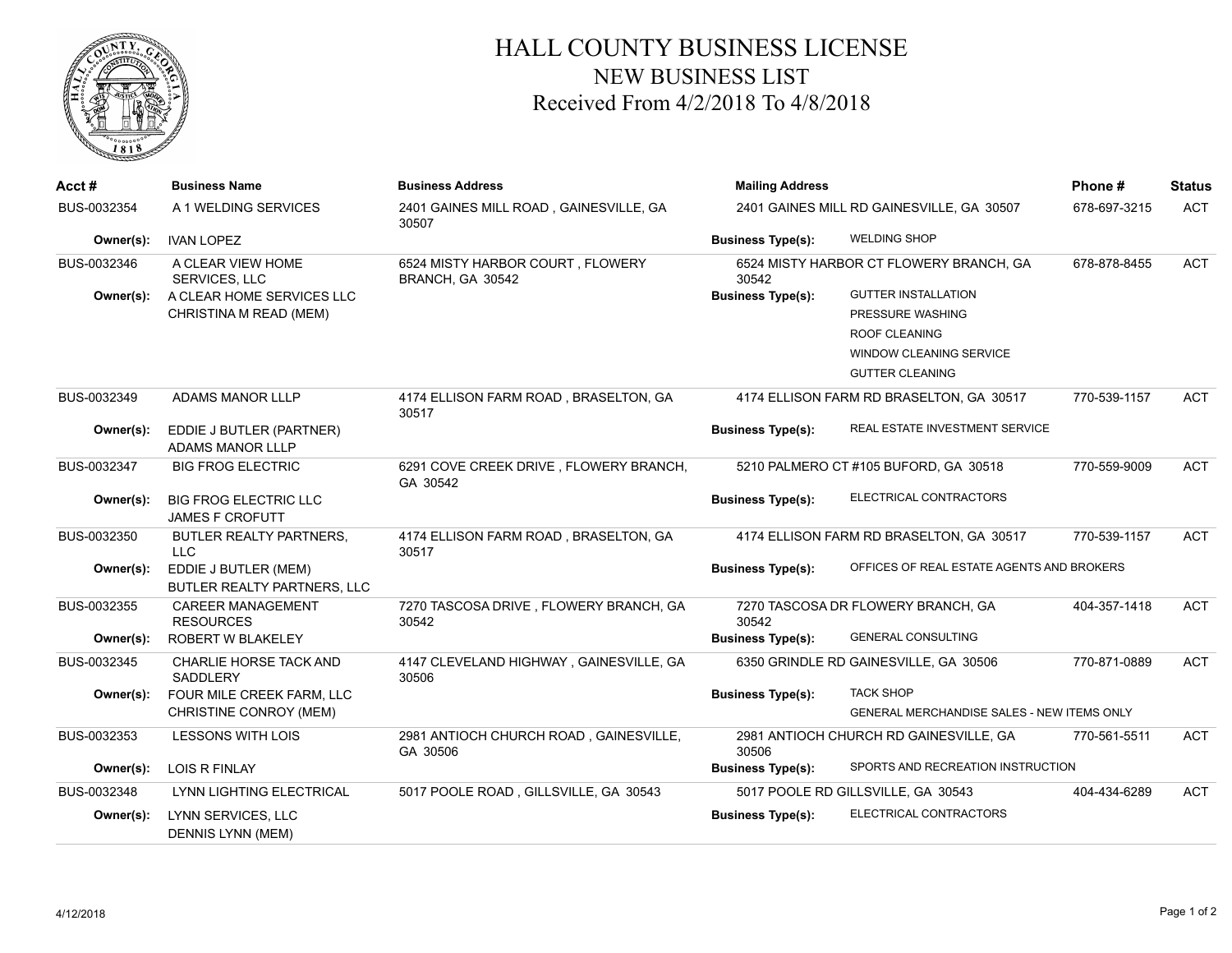

## HALL COUNTY BUSINESS LICENSE NEW BUSINESS LIST Received From 4/2/2018 To 4/8/2018

| Acct#       | <b>Business Name</b>                                   | <b>Business Address</b>                              | <b>Mailing Address</b>                           | Phone#                                            | <b>Status</b> |            |
|-------------|--------------------------------------------------------|------------------------------------------------------|--------------------------------------------------|---------------------------------------------------|---------------|------------|
| BUS-0032354 | A 1 WELDING SERVICES                                   | 2401 GAINES MILL ROAD, GAINESVILLE, GA<br>30507      | 2401 GAINES MILL RD GAINESVILLE, GA 30507        | 678-697-3215                                      | <b>ACT</b>    |            |
| Owner(s):   | <b>IVAN LOPEZ</b>                                      |                                                      | <b>Business Type(s):</b>                         | <b>WELDING SHOP</b>                               |               |            |
| BUS-0032346 | A CLEAR VIEW HOME<br><b>SERVICES, LLC</b>              | 6524 MISTY HARBOR COURT, FLOWERY<br>BRANCH, GA 30542 | 6524 MISTY HARBOR CT FLOWERY BRANCH, GA<br>30542 |                                                   | 678-878-8455  | <b>ACT</b> |
| Owner(s):   | A CLEAR HOME SERVICES LLC                              |                                                      | <b>Business Type(s):</b>                         | <b>GUTTER INSTALLATION</b>                        |               |            |
|             | CHRISTINA M READ (MEM)                                 |                                                      |                                                  | PRESSURE WASHING                                  |               |            |
|             |                                                        |                                                      |                                                  | <b>ROOF CLEANING</b>                              |               |            |
|             |                                                        |                                                      |                                                  | WINDOW CLEANING SERVICE                           |               |            |
|             |                                                        |                                                      |                                                  | <b>GUTTER CLEANING</b>                            |               |            |
| BUS-0032349 | <b>ADAMS MANOR LLLP</b>                                | 4174 ELLISON FARM ROAD, BRASELTON, GA<br>30517       |                                                  | 4174 ELLISON FARM RD BRASELTON, GA 30517          | 770-539-1157  | <b>ACT</b> |
| Owner(s):   | EDDIE J BUTLER (PARTNER)<br>ADAMS MANOR LLLP           |                                                      | <b>Business Type(s):</b>                         | <b>REAL ESTATE INVESTMENT SERVICE</b>             |               |            |
| BUS-0032347 | <b>BIG FROG ELECTRIC</b>                               | 6291 COVE CREEK DRIVE, FLOWERY BRANCH,<br>GA 30542   |                                                  | 5210 PALMERO CT #105 BUFORD, GA 30518             | 770-559-9009  | <b>ACT</b> |
| Owner(s):   | <b>BIG FROG ELECTRIC LLC</b><br><b>JAMES F CROFUTT</b> |                                                      | <b>Business Type(s):</b>                         | ELECTRICAL CONTRACTORS                            |               |            |
| BUS-0032350 | BUTLER REALTY PARTNERS,<br><b>LLC</b>                  | 4174 ELLISON FARM ROAD, BRASELTON, GA<br>30517       |                                                  | 4174 ELLISON FARM RD BRASELTON, GA 30517          | 770-539-1157  | <b>ACT</b> |
| Owner(s):   | EDDIE J BUTLER (MEM)<br>BUTLER REALTY PARTNERS, LLC    |                                                      | <b>Business Type(s):</b>                         | OFFICES OF REAL ESTATE AGENTS AND BROKERS         |               |            |
| BUS-0032355 | <b>CAREER MANAGEMENT</b><br><b>RESOURCES</b>           | 7270 TASCOSA DRIVE, FLOWERY BRANCH, GA<br>30542      | 30542                                            | 7270 TASCOSA DR FLOWERY BRANCH, GA                | 404-357-1418  | <b>ACT</b> |
| Owner(s):   | ROBERT W BLAKELEY                                      |                                                      | <b>Business Type(s):</b>                         | <b>GENERAL CONSULTING</b>                         |               |            |
| BUS-0032345 | CHARLIE HORSE TACK AND<br>SADDLERY                     | 4147 CLEVELAND HIGHWAY, GAINESVILLE, GA<br>30506     |                                                  | 6350 GRINDLE RD GAINESVILLE, GA 30506             | 770-871-0889  | <b>ACT</b> |
| Owner(s):   | FOUR MILE CREEK FARM, LLC                              |                                                      | <b>Business Type(s):</b>                         | <b>TACK SHOP</b>                                  |               |            |
|             | CHRISTINE CONROY (MEM)                                 |                                                      |                                                  | <b>GENERAL MERCHANDISE SALES - NEW ITEMS ONLY</b> |               |            |
| BUS-0032353 | <b>LESSONS WITH LOIS</b>                               | 2981 ANTIOCH CHURCH ROAD, GAINESVILLE,<br>GA 30506   | 30506                                            | 2981 ANTIOCH CHURCH RD GAINESVILLE, GA            | 770-561-5511  | <b>ACT</b> |
| Owner(s):   | <b>LOIS R FINLAY</b>                                   |                                                      | <b>Business Type(s):</b>                         | SPORTS AND RECREATION INSTRUCTION                 |               |            |
| BUS-0032348 | LYNN LIGHTING ELECTRICAL                               | 5017 POOLE ROAD, GILLSVILLE, GA 30543                |                                                  | 5017 POOLE RD GILLSVILLE, GA 30543                | 404-434-6289  | <b>ACT</b> |
| Owner(s):   | LYNN SERVICES, LLC<br>DENNIS LYNN (MEM)                |                                                      | <b>Business Type(s):</b>                         | ELECTRICAL CONTRACTORS                            |               |            |